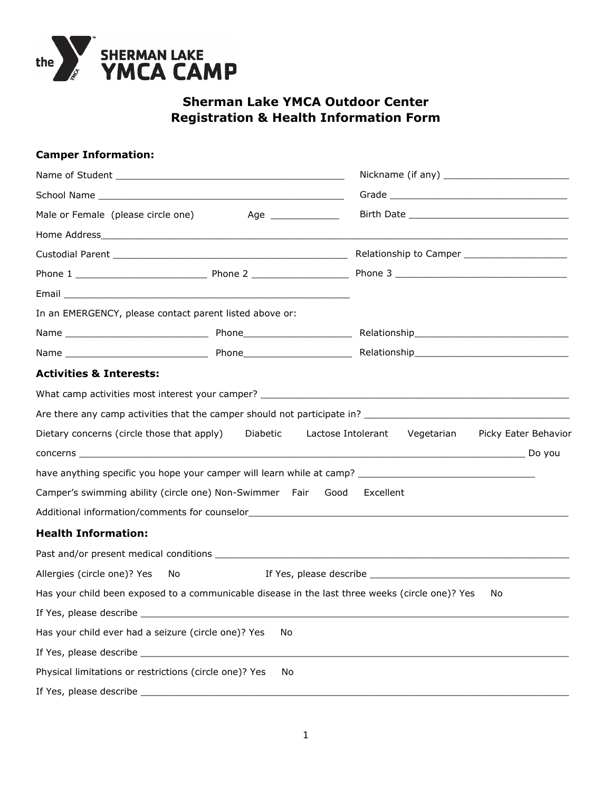

# **Sherman Lake YMCA Outdoor Center Registration & Health Information Form**

| <b>Camper Information:</b>                                                                      |    |                                                                                                      |  |  |
|-------------------------------------------------------------------------------------------------|----|------------------------------------------------------------------------------------------------------|--|--|
| Male or Female (please circle one)<br>Age ________________                                      |    |                                                                                                      |  |  |
|                                                                                                 |    |                                                                                                      |  |  |
|                                                                                                 |    |                                                                                                      |  |  |
|                                                                                                 |    |                                                                                                      |  |  |
|                                                                                                 |    |                                                                                                      |  |  |
|                                                                                                 |    |                                                                                                      |  |  |
|                                                                                                 |    |                                                                                                      |  |  |
| In an EMERGENCY, please contact parent listed above or:                                         |    |                                                                                                      |  |  |
|                                                                                                 |    |                                                                                                      |  |  |
|                                                                                                 |    |                                                                                                      |  |  |
| <b>Activities &amp; Interests:</b>                                                              |    |                                                                                                      |  |  |
|                                                                                                 |    |                                                                                                      |  |  |
|                                                                                                 |    |                                                                                                      |  |  |
| Dietary concerns (circle those that apply) Diabetic                                             |    | Lactose Intolerant Vegetarian Picky Eater Behavior                                                   |  |  |
|                                                                                                 |    |                                                                                                      |  |  |
|                                                                                                 |    | have anything specific you hope your camper will learn while at camp? ______________________________ |  |  |
| Camper's swimming ability (circle one) Non-Swimmer Fair Good                                    |    | Excellent                                                                                            |  |  |
|                                                                                                 |    |                                                                                                      |  |  |
| <b>Health Information:</b>                                                                      |    |                                                                                                      |  |  |
|                                                                                                 |    |                                                                                                      |  |  |
| Allergies (circle one)? Yes<br>No.                                                              |    |                                                                                                      |  |  |
| Has your child been exposed to a communicable disease in the last three weeks (circle one)? Yes |    | No.                                                                                                  |  |  |
|                                                                                                 |    |                                                                                                      |  |  |
| Has your child ever had a seizure (circle one)? Yes                                             | No |                                                                                                      |  |  |
|                                                                                                 |    |                                                                                                      |  |  |
| Physical limitations or restrictions (circle one)? Yes                                          | No |                                                                                                      |  |  |
|                                                                                                 |    |                                                                                                      |  |  |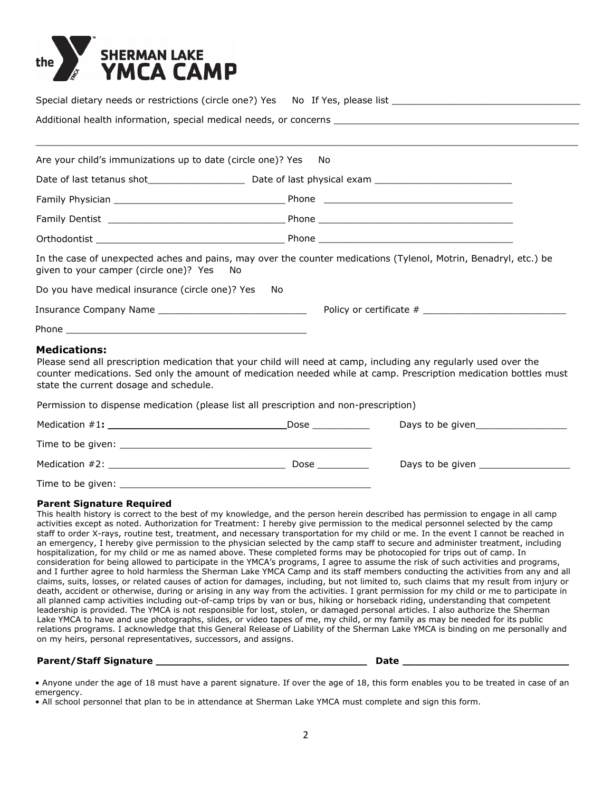

|                                                             | Special dietary needs or restrictions (circle one?) Yes No If Yes, please list _______________________________   |
|-------------------------------------------------------------|------------------------------------------------------------------------------------------------------------------|
|                                                             |                                                                                                                  |
|                                                             |                                                                                                                  |
| Are your child's immunizations up to date (circle one)? Yes | No.                                                                                                              |
|                                                             |                                                                                                                  |
|                                                             |                                                                                                                  |
|                                                             |                                                                                                                  |
|                                                             |                                                                                                                  |
| given to your camper (circle one)? Yes No                   | In the case of unexpected aches and pains, may over the counter medications (Tylenol, Motrin, Benadryl, etc.) be |
| Do you have medical insurance (circle one)? Yes             | No.                                                                                                              |
|                                                             |                                                                                                                  |
|                                                             |                                                                                                                  |
| <b>Medications:</b>                                         | Dlages cand all processition modication that your child will pood at camp, including any require used over the   |

Please send all prescription medication that your child will need at camp, including any regularly used over the counter medications. Sed only the amount of medication needed while at camp. Prescription medication bottles must state the current dosage and schedule.

Permission to dispense medication (please list all prescription and non-prescription)

| Medication $#1:$  | Dose | Days to be given |  |
|-------------------|------|------------------|--|
| Time to be given: |      |                  |  |
| Medication #2:    | Dose | Days to be given |  |
| Time to be given: |      |                  |  |

### **Parent Signature Required**

This health history is correct to the best of my knowledge, and the person herein described has permission to engage in all camp activities except as noted. Authorization for Treatment: I hereby give permission to the medical personnel selected by the camp staff to order X-rays, routine test, treatment, and necessary transportation for my child or me. In the event I cannot be reached in an emergency, I hereby give permission to the physician selected by the camp staff to secure and administer treatment, including hospitalization, for my child or me as named above. These completed forms may be photocopied for trips out of camp. In consideration for being allowed to participate in the YMCA's programs, I agree to assume the risk of such activities and programs, and I further agree to hold harmless the Sherman Lake YMCA Camp and its staff members conducting the activities from any and all claims, suits, losses, or related causes of action for damages, including, but not limited to, such claims that my result from injury or death, accident or otherwise, during or arising in any way from the activities. I grant permission for my child or me to participate in all planned camp activities including out-of-camp trips by van or bus, hiking or horseback riding, understanding that competent leadership is provided. The YMCA is not responsible for lost, stolen, or damaged personal articles. I also authorize the Sherman Lake YMCA to have and use photographs, slides, or video tapes of me, my child, or my family as may be needed for its public relations programs. I acknowledge that this General Release of Liability of the Sherman Lake YMCA is binding on me personally and on my heirs, personal representatives, successors, and assigns.

## **Parent/Staff Signature \_\_\_\_\_\_\_\_\_\_\_\_\_\_\_\_\_\_\_\_\_\_\_\_\_\_\_\_\_\_\_\_\_ \_\_\_\_\_\_\_\_\_\_\_\_\_\_\_\_\_\_\_\_\_\_\_\_\_\_ Date**

• Anyone under the age of 18 must have a parent signature. If over the age of 18, this form enables you to be treated in case of an emergency.

• All school personnel that plan to be in attendance at Sherman Lake YMCA must complete and sign this form.